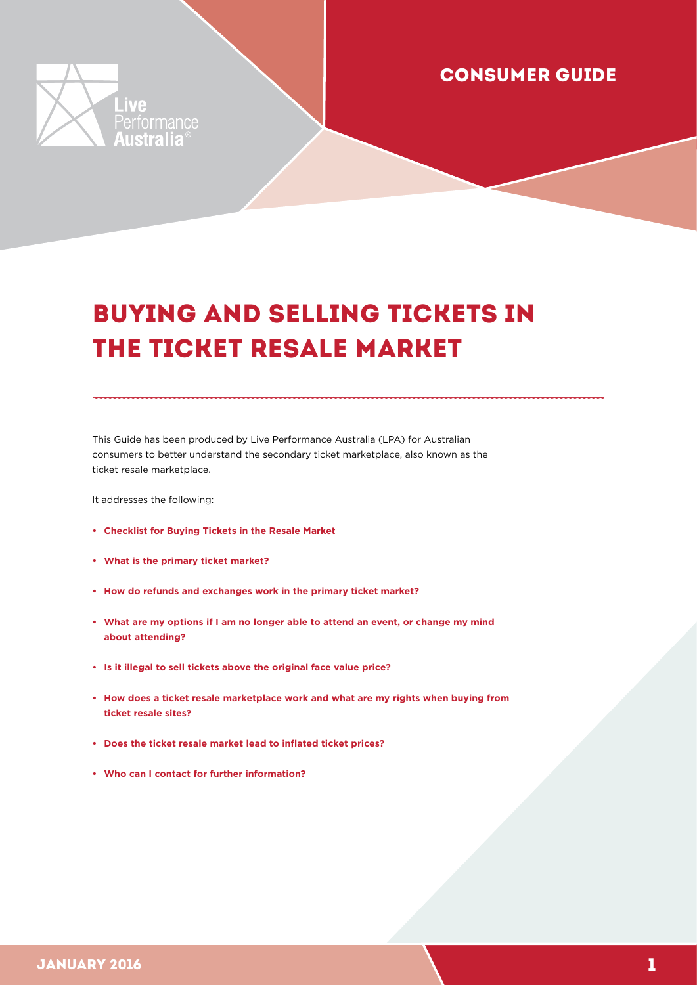

### CONSUMER GUIDE

# BUYING AND SELLING TICKETS IN THE TICKET RESALE MARKET

This Guide has been produced by Live Performance Australia (LPA) for Australian consumers to better understand the secondary ticket marketplace, also known as the ticket resale marketplace.

It addresses the following:

- **[Checklist for Buying Tickets in the Resale Market](#page-1-0)**
- **[What is the primary ticket market?](#page-2-0)**
- **[How do refunds and exchanges work in the primary ticket market?](#page-2-1)**
- **[What are my options if I am no longer able to attend an event, or change my mind](#page-3-0) [about attending?](#page-3-0)**
- **[Is it illegal to sell tickets above the original face value price?](#page-4-0)**
- **[How does a ticket resale marketplace work and what are my rights when buying from](#page-5-0)  [ticket resale sites?](#page-5-0)**
- **[Does the ticket resale market lead to inflated ticket prices?](#page-7-0)**
- **[Who can I contact for further information?](#page-7-1)**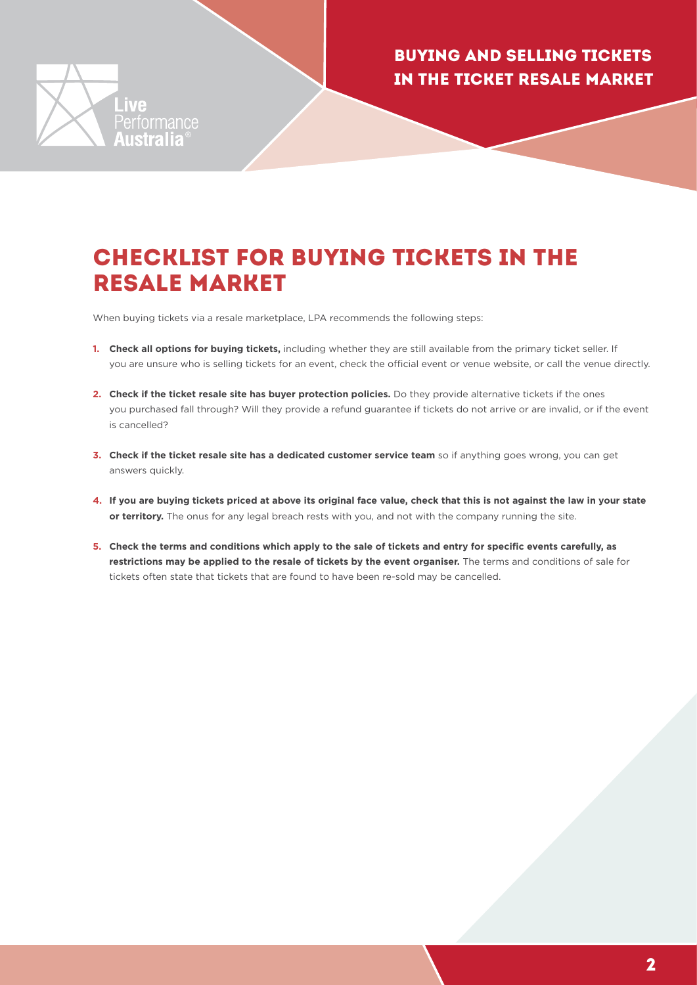

### <span id="page-1-0"></span>CHECKLIST FOR BUYING TICKETS IN THE RESALE MARKET

When buying tickets via a resale marketplace, LPA recommends the following steps:

- **1. Check all options for buying tickets,** including whether they are still available from the primary ticket seller. If you are unsure who is selling tickets for an event, check the official event or venue website, or call the venue directly.
- **2. Check if the ticket resale site has buyer protection policies.** Do they provide alternative tickets if the ones you purchased fall through? Will they provide a refund guarantee if tickets do not arrive or are invalid, or if the event is cancelled?
- **3. Check if the ticket resale site has a dedicated customer service team** so if anything goes wrong, you can get answers quickly.
- **4. If you are buying tickets priced at above its original face value, check that this is not against the law in your state or territory.** The onus for any legal breach rests with you, and not with the company running the site.
- **5. Check the terms and conditions which apply to the sale of tickets and entry for specific events carefully, as restrictions may be applied to the resale of tickets by the event organiser.** The terms and conditions of sale for tickets often state that tickets that are found to have been re-sold may be cancelled.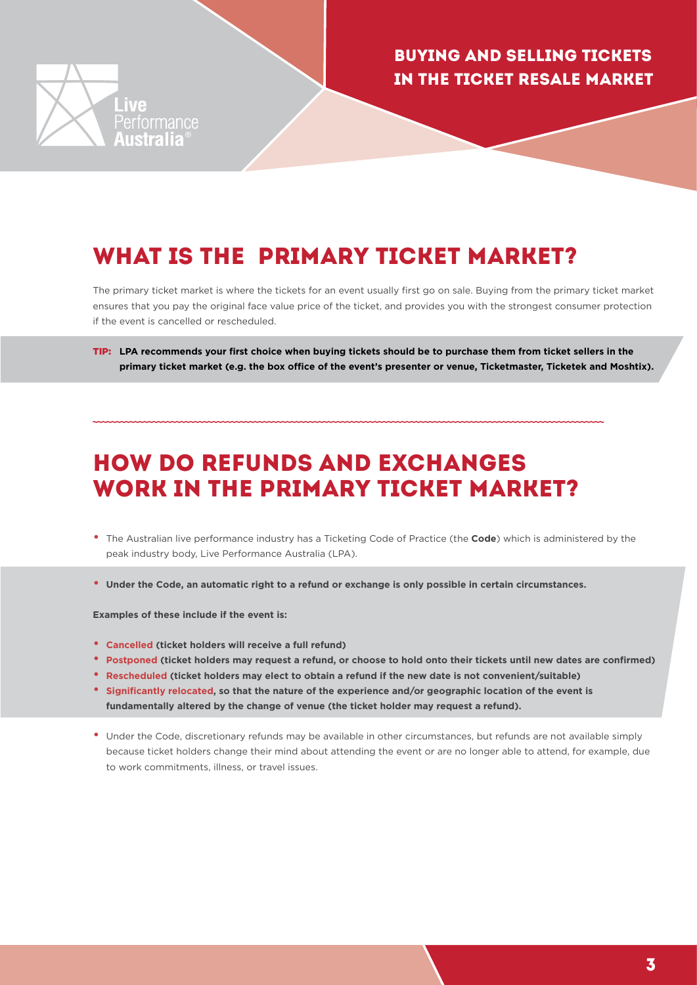

## <span id="page-2-0"></span>WHAT IS THE PRIMARY TICKET MARKET?

The primary ticket market is where the tickets for an event usually first go on sale. Buying from the primary ticket market ensures that you pay the original face value price of the ticket, and provides you with the strongest consumer protection if the event is cancelled or rescheduled.

TIP: **LPA recommends your first choice when buying tickets should be to purchase them from ticket sellers in the primary ticket market (e.g. the box office of the event's presenter or venue, Ticketmaster, Ticketek and Moshtix).**

## <span id="page-2-1"></span>HOW DO REFUNDS AND EXCHANGES WORK IN THE PRIMARY TICKET MARKET?

- The Australian live performance industry has a Ticketing Code of Practice (the **[Code](www.liveperformance.com.au)**) which is administered by the peak industry body, Live Performance Australia (LPA).
- **Under the Code, an automatic right to a refund or exchange is only possible in certain circumstances.**

**Examples of these include if the event is:**

- **Cancelled (ticket holders will receive a full refund)**
- **Postponed (ticket holders may request a refund, or choose to hold onto their tickets until new dates are confirmed)**
- **Rescheduled (ticket holders may elect to obtain a refund if the new date is not convenient/suitable)**
- **Significantly relocated, so that the nature of the experience and/or geographic location of the event is fundamentally altered by the change of venue (the ticket holder may request a refund).**
- Under the Code, discretionary refunds may be available in other circumstances, but refunds are not available simply because ticket holders change their mind about attending the event or are no longer able to attend, for example, due to work commitments, illness, or travel issues.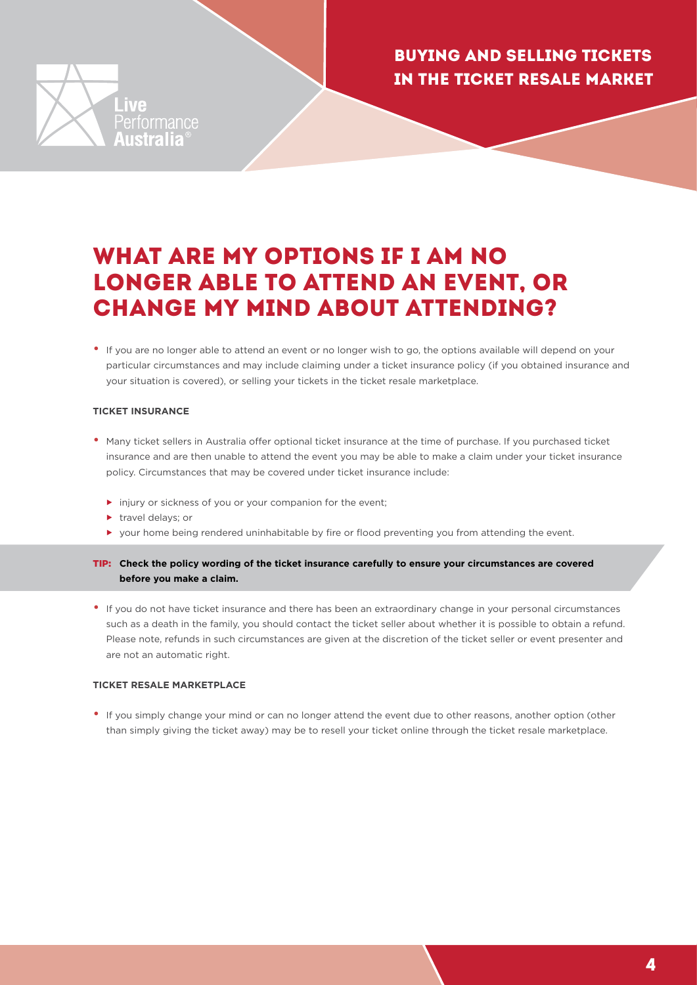

### <span id="page-3-0"></span>WHAT ARE MY OPTIONS IF I AM NO LONGER ABLE TO ATTEND AN EVENT, OR CHANGE MY MIND ABOUT ATTENDING?

• If you are no longer able to attend an event or no longer wish to go, the options available will depend on your particular circumstances and may include claiming under a ticket insurance policy (if you obtained insurance and your situation is covered), or selling your tickets in the ticket resale marketplace.

#### **TICKET INSURANCE**

- Many ticket sellers in Australia offer optional ticket insurance at the time of purchase. If you purchased ticket insurance and are then unable to attend the event you may be able to make a claim under your ticket insurance policy. Circumstances that may be covered under ticket insurance include:
	- injury or sickness of you or your companion for the event;
	- travel delays; or
	- your home being rendered uninhabitable by fire or flood preventing you from attending the event.
- TIP: **Check the policy wording of the ticket insurance carefully to ensure your circumstances are covered before you make a claim.**
- If you do not have ticket insurance and there has been an extraordinary change in your personal circumstances such as a death in the family, you should contact the ticket seller about whether it is possible to obtain a refund. Please note, refunds in such circumstances are given at the discretion of the ticket seller or event presenter and are not an automatic right.

#### **TICKET RESALE MARKETPLACE**

• If you simply change your mind or can no longer attend the event due to other reasons, another option (other than simply giving the ticket away) may be to resell your ticket online through the ticket resale marketplace.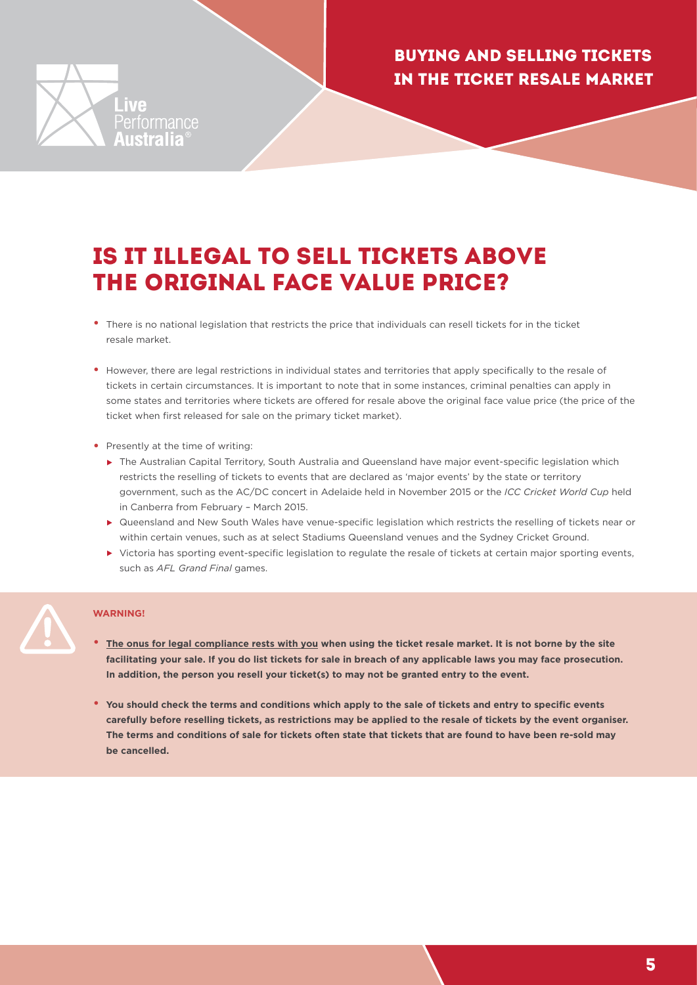

## <span id="page-4-0"></span>IS IT ILLEGAL TO SELL TICKETS ABOVE THE ORIGINAL FACE VALUE PRICE?

- There is no national legislation that restricts the price that individuals can resell tickets for in the ticket resale market.
- However, there are legal restrictions in individual states and territories that apply specifically to the resale of tickets in certain circumstances. It is important to note that in some instances, criminal penalties can apply in some states and territories where tickets are offered for resale above the original face value price (the price of the ticket when first released for sale on the primary ticket market).
- Presently at the time of writing:
	- The Australian Capital Territory, South Australia and Queensland have major event-specific legislation which restricts the reselling of tickets to events that are declared as 'major events' by the state or territory government, such as the AC/DC concert in Adelaide held in November 2015 or the *ICC Cricket World Cup* held in Canberra from February – March 2015.
	- ▶ Queensland and New South Wales have venue-specific legislation which restricts the reselling of tickets near or within certain venues, such as at select Stadiums Queensland venues and the Sydney Cricket Ground.
	- Victoria has sporting event-specific legislation to regulate the resale of tickets at certain major sporting events, such as *AFL Grand Final* games.

#### **WARNING!**

- **The onus for legal compliance rests with you when using the ticket resale market. It is not borne by the site facilitating your sale. If you do list tickets for sale in breach of any applicable laws you may face prosecution. In addition, the person you resell your ticket(s) to may not be granted entry to the event.**
- **You should check the terms and conditions which apply to the sale of tickets and entry to specific events carefully before reselling tickets, as restrictions may be applied to the resale of tickets by the event organiser. The terms and conditions of sale for tickets often state that tickets that are found to have been re-sold may be cancelled.**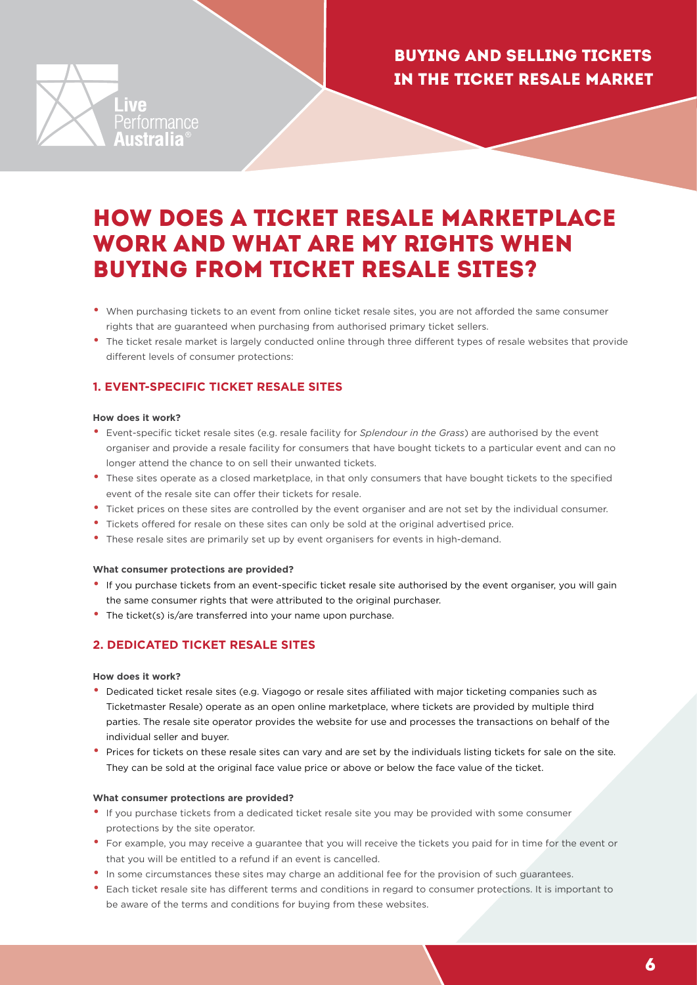

### <span id="page-5-0"></span>HOW DOES A TICKET RESALE MARKETPLACE WORK AND WHAT ARE MY RIGHTS WHEN BUYING FROM TICKET RESALE SITES?

- When purchasing tickets to an event from online ticket resale sites, you are not afforded the same consumer rights that are guaranteed when purchasing from authorised primary ticket sellers.
- The ticket resale market is largely conducted online through three different types of resale websites that provide different levels of consumer protections:

#### **1. EVENT-SPECIFIC TICKET RESALE SITES**

#### **How does it work?**

- Event-specific ticket resale sites (e.g. resale facility for *Splendour in the Grass*) are authorised by the event organiser and provide a resale facility for consumers that have bought tickets to a particular event and can no longer attend the chance to on sell their unwanted tickets.
- These sites operate as a closed marketplace, in that only consumers that have bought tickets to the specified event of the resale site can offer their tickets for resale.
- Ticket prices on these sites are controlled by the event organiser and are not set by the individual consumer.
- Tickets offered for resale on these sites can only be sold at the original advertised price.
- These resale sites are primarily set up by event organisers for events in high-demand.

#### **What consumer protections are provided?**

- If you purchase tickets from an event-specific ticket resale site authorised by the event organiser, you will gain the same consumer rights that were attributed to the original purchaser.
- The ticket(s) is/are transferred into your name upon purchase.

#### **2. DEDICATED TICKET RESALE SITES**

#### **How does it work?**

- Dedicated ticket resale sites (e.g. Viagogo or resale sites affiliated with major ticketing companies such as Ticketmaster Resale) operate as an open online marketplace, where tickets are provided by multiple third parties. The resale site operator provides the website for use and processes the transactions on behalf of the individual seller and buyer.
- Prices for tickets on these resale sites can vary and are set by the individuals listing tickets for sale on the site. They can be sold at the original face value price or above or below the face value of the ticket.

#### **What consumer protections are provided?**

- If you purchase tickets from a dedicated ticket resale site you may be provided with some consumer protections by the site operator.
- For example, you may receive a guarantee that you will receive the tickets you paid for in time for the event or that you will be entitled to a refund if an event is cancelled.
- In some circumstances these sites may charge an additional fee for the provision of such guarantees.
- Each ticket resale site has different terms and conditions in regard to consumer protections. It is important to be aware of the terms and conditions for buying from these websites.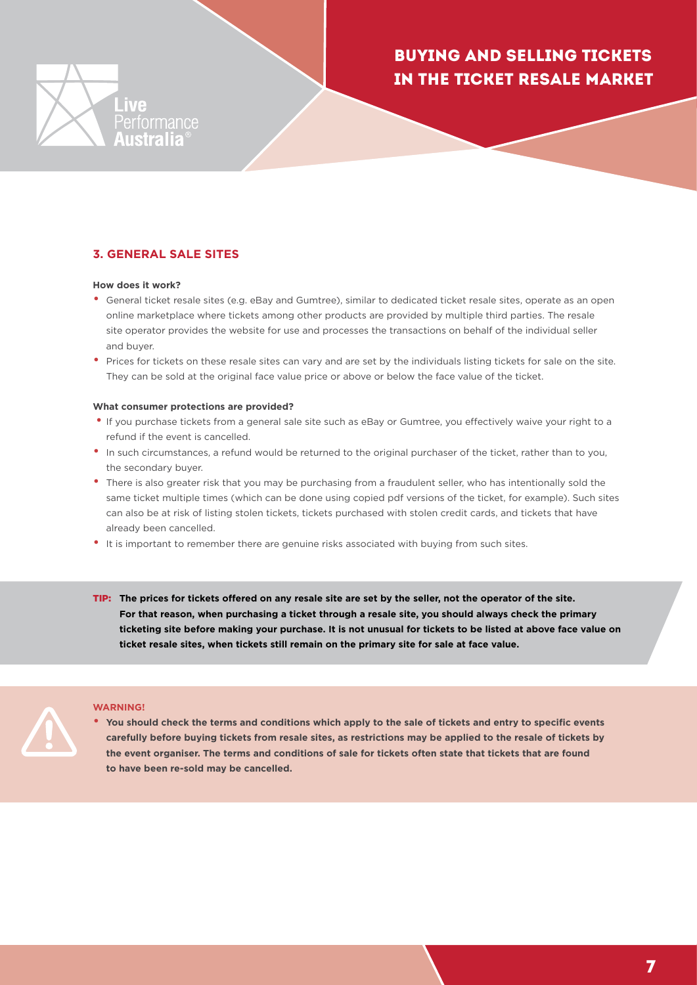



#### **3. GENERAL SALE SITES**

#### **How does it work?**

- General ticket resale sites (e.g. eBay and Gumtree), similar to dedicated ticket resale sites, operate as an open online marketplace where tickets among other products are provided by multiple third parties. The resale site operator provides the website for use and processes the transactions on behalf of the individual seller and buyer.
- Prices for tickets on these resale sites can vary and are set by the individuals listing tickets for sale on the site. They can be sold at the original face value price or above or below the face value of the ticket.

#### **What consumer protections are provided?**

- If you purchase tickets from a general sale site such as eBay or Gumtree, you effectively waive your right to a refund if the event is cancelled.
- In such circumstances, a refund would be returned to the original purchaser of the ticket, rather than to you, the secondary buyer.
- There is also greater risk that you may be purchasing from a fraudulent seller, who has intentionally sold the same ticket multiple times (which can be done using copied pdf versions of the ticket, for example). Such sites can also be at risk of listing stolen tickets, tickets purchased with stolen credit cards, and tickets that have already been cancelled.
- It is important to remember there are genuine risks associated with buying from such sites.
- TIP: **The prices for tickets offered on any resale site are set by the seller, not the operator of the site. For that reason, when purchasing a ticket through a resale site, you should always check the primary ticketing site before making your purchase. It is not unusual for tickets to be listed at above face value on ticket resale sites, when tickets still remain on the primary site for sale at face value.**

#### **WARNING!**

• **You should check the terms and conditions which apply to the sale of tickets and entry to specific events carefully before buying tickets from resale sites, as restrictions may be applied to the resale of tickets by the event organiser. The terms and conditions of sale for tickets often state that tickets that are found to have been re-sold may be cancelled.**